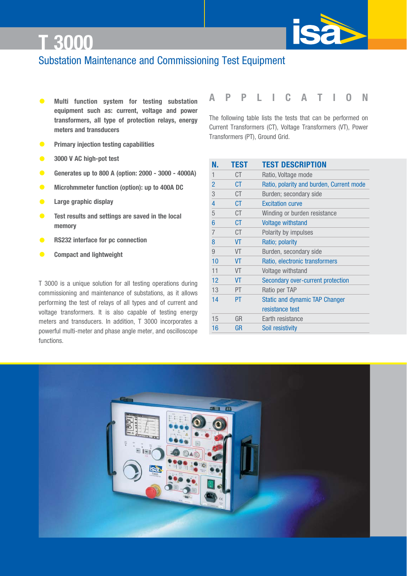

### Substation Maintenance and Commissioning Test Equipment

- **• Multi function system for testing substation equipment such as: current, voltage and power transformers, all type of protection relays, energy meters and transducers**
- **• Primary injection testing capabilities**
- **• 3000 V AC high-pot test**
- **• Generates up to 800 A (option: 2000 3000 4000A)**
- **• Microhmmeter function (option): up to 400A DC**
- **• Large graphic display**
- **• Test results and settings are saved in the local memory**
- **• RS232 interface for pc connection**
- **• Compact and lightweight**

T 3000 is a unique solution for all testing operations during commissioning and maintenance of substations, as it allows performing the test of relays of all types and of current and voltage transformers. It is also capable of testing energy meters and transducers. In addition, T 3000 incorporates a powerful multi-meter and phase angle meter, and oscilloscope functions.

### **APPLICATION**

The following table lists the tests that can be performed on Current Transformers (CT), Voltage Transformers (VT), Power Transformers (PT), Ground Grid.

| N.             | <b>TEST</b> | <b>TEST DESCRIPTION</b>                  |
|----------------|-------------|------------------------------------------|
| 1              | СT          | Ratio, Voltage mode                      |
| $\overline{2}$ | СT          | Ratio, polarity and burden, Current mode |
| 3              | СT          | Burden; secondary side                   |
| 4              | СT          | <b>Excitation curve</b>                  |
| 5              | СT          | Winding or burden resistance             |
| 6              | СT          | <b>Voltage withstand</b>                 |
| 7              | СT          | Polarity by impulses                     |
| 8              | VT          | Ratio; polarity                          |
| 9              | VT          | Burden, secondary side                   |
| 10             | VT          | Ratio, electronic transformers           |
| 11             | VT          | Voltage withstand                        |
| 12             | VT          | Secondary over-current protection        |
| 13             | PT.         | Ratio per TAP                            |
| 14             | PT.         | <b>Static and dynamic TAP Changer</b>    |
|                |             | resistance test                          |
| 15             | GR          | Earth resistance                         |
| 16             | GR          | Soil resistivity                         |
|                |             |                                          |



Tel.: 03303 / 504066 Fax: 03303 / 504068

info@ics-schneider.de www.ics-schneider.de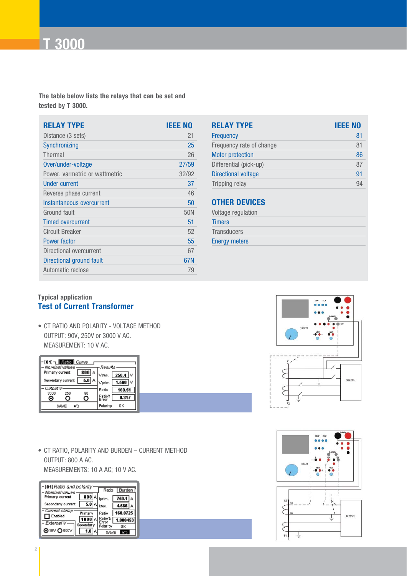

**The table below lists the relays that can be set and tested by T 3000.**

| <b>RELAY TYPE</b>              | <b>IEEE NO</b> |
|--------------------------------|----------------|
| Distance (3 sets)              | 21             |
| Synchronizing                  | 25             |
| Thermal                        | 26             |
| Over/under-voltage             | 27/59          |
| Power, varmetric or wattmetric | 32/92          |
| <b>Under current</b>           | 37             |
| Reverse phase current          | 46             |
| Instantaneous overcurrent      | 50             |
| Ground fault                   | 50N            |
| <b>Timed overcurrent</b>       | 51             |
| <b>Circuit Breaker</b>         | 52             |
| <b>Power factor</b>            | 55             |
| Directional overcurrent        | 67             |
| Directional ground fault       | 67N            |
| Automatic reclose              | 79             |

| <b>RELAY TYPE</b>        | <b>IEEE NO</b> |
|--------------------------|----------------|
| <b>Frequency</b>         | 81             |
| Frequency rate of change | 81             |
| <b>Motor protection</b>  | 86             |
| Differential (pick-up)   | 87             |
| Directional voltage      | 91             |
| Tripping relay           |                |

### **OTHER DEVICES**

| Voltage regulation   |
|----------------------|
| <b>Timers</b>        |
| <b>Transducers</b>   |
| <b>Energy meters</b> |
|                      |

#### **Typical application Test of Current Transformer**

• CT RATIO AND POLARITY - VOLTAGE METHOD OUTPUT: 90V, 250V or 3000 V AC. MEASUREMENT: 10 V AC.

| $\lceil 01 \rceil$ Retio Curve<br>Nominal values<br>Results |                         |                 |              |  |  |
|-------------------------------------------------------------|-------------------------|-----------------|--------------|--|--|
| Primary current                                             | $\overline{\text{800}}$ | Vsec.           | 250.4 $\vee$ |  |  |
| Secondary current                                           |                         | Vprim.          | 1.560 $\vee$ |  |  |
| Output V<br>3000<br>250                                     | 90                      | Ratio           | 160.51       |  |  |
| G                                                           |                         | Ratio%<br>Error | 0.317        |  |  |
| SAME                                                        |                         | Polarity        | OΚ           |  |  |

• CT RATIO, POLARITY AND BURDEN – CURRENT METHOD OUTPUT: 800 A AC. MEASUREMENTS: 10 A AC; 10 V AC.

| ∟[01] Ratio and polarity<br>Nominal values | Burden<br>Ratio                      |                        |           |
|--------------------------------------------|--------------------------------------|------------------------|-----------|
| Primary current                            | 800 A                                | lprim.                 | $750.1$ A |
| Secondary current                          | $5.0 \, \text{A}$                    | Isec.                  | 4.686 A   |
| Current clamp<br>$\Box$ Enabled            | Primary                              | Ratio                  | 160.0725  |
| External V                                 | $1000$ <sup><math>\land</math></sup> | Ratio %<br>Error       | 1.000453  |
| டை⊙ை⊍                                      | Secondary                            | Polarity<br><b>SAV</b> | OΚ        |

ICS Schneider Messtechnik GmbH Briesestraße 59 D-16562 Hohen Neuendorf / OT Bergfelde

Tel.: 03303 / 504066 Fax: 03303 / 504068





info@ics-schneider.de www.ics-schneider.de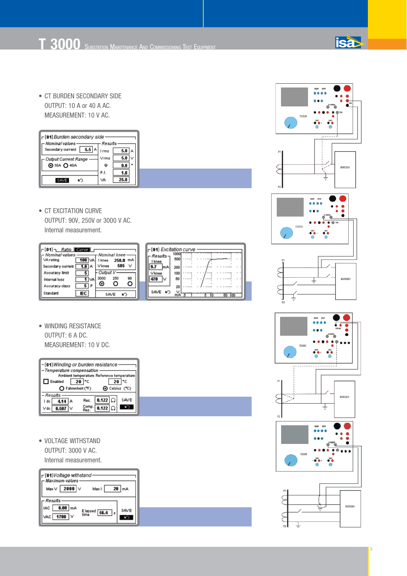• CT BURDEN SECONDARY SIDE OUTPUT: 10 A or 40 A AC. MEASUREMENT: 10 V AC.

| <sub>Γ</sub> [01] Burden secondary side<br>Nominal values<br>Results |      |          |  |  |
|----------------------------------------------------------------------|------|----------|--|--|
| 5.5<br>Secondary current                                             | Irms | 5.0<br>д |  |  |
| <b>Output Current Range</b>                                          | Vrms | 5.0<br>v |  |  |
| <b>@</b> 10A <b>Q</b> 40A                                            | ω    | o<br>0.0 |  |  |
|                                                                      | P.f. | 1.0      |  |  |
|                                                                      | VA   |          |  |  |

• CT EXCITATION CURVE OUTPUT: 90V, 250V or 3000 V AC. Internal measurement.

| $\lceil 01 \rceil$ Ratio Curve |              |              |     |    |
|--------------------------------|--------------|--------------|-----|----|
| - Nominal values               |              | Nominal knee |     |    |
| VArating                       | $100 \times$ | I knee 250.0 |     | mA |
| Secondary current              | 7.0          | Vknee        | 505 |    |
| Acouracy limit                 |              | Output V     |     |    |
| Internal loss                  | $1\%$        | 3000         | 250 | 90 |
| Accuracy class                 | 5   P        |              |     | C) |
| Standard                       |              | S AVE        |     |    |

| $\Gamma$ [01] Excitation curve |             |  |
|--------------------------------|-------------|--|
| - Results -                    | 1000<br>500 |  |
| I knee                         |             |  |
|                                | 200<br>100  |  |
|                                | 50          |  |
|                                |             |  |
| SAVE                           |             |  |

• WINDING RESISTANCE OUTPUT: 6 A DC. MEASUREMENT: 10 V DC.

| $\Gamma$ [01] Winding or burden resistance    |  |  |  |  |
|-----------------------------------------------|--|--|--|--|
| Temperature compensation                      |  |  |  |  |
| Ambient temperature Reference temperature     |  |  |  |  |
| $20$ $^{\circ}$ C<br>20   °C<br>Enabled       |  |  |  |  |
| O Celsius (°C)<br>C Fahrenheit ("F)           |  |  |  |  |
| Results                                       |  |  |  |  |
| $0.122$ $\Omega$<br><b>SAVE</b><br>Res.<br>do |  |  |  |  |
| 0.122                                         |  |  |  |  |

• VOLTAGE WITHSTAND OUTPUT: 3000 V AC. Internal measurement.







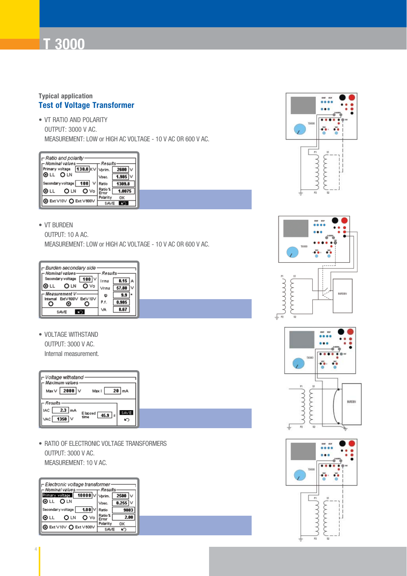#### **Typical application Test of Voltage Transformer**

• VT RATIO AND POLARITY OUTPUT: 3000 V AC. MEASUREMENT: LOW or HIGH AC VOLTAGE - 10 V AC OR 600 V AC.

| ⊢ Ratio and polarity<br>Nominal values<br>Results             |                                                   |  |  |  |
|---------------------------------------------------------------|---------------------------------------------------|--|--|--|
| Primary voltage<br>OLL OLN                                    | 130.0 KV vprim. 2600 V<br>$1.985$ $\vee$<br>Vseo. |  |  |  |
| Secondary voltage<br>100                                      | Ratio<br>Ratio %                                  |  |  |  |
| $O$ Vo<br><b>OLN</b><br>⊚ ∟∟<br><b>ⓒ</b> Ext V10V O Ext V600V | 1.0075<br>Polarity<br>OK                          |  |  |  |
|                                                               | SAVE                                              |  |  |  |

#### • VT BURDEN

OUTPUT: 10 A AC.

MEASUREMENT: LOW or HIGH AC VOLTAGE - 10 V AC OR 600 V AC.

| - Burden secondary side<br>Nominal values  | Results      |
|--------------------------------------------|--------------|
| $100$ $\vee$<br>Secondary voltage          | 0.15<br>Irms |
| $\mathbf{O}$ $\vee$ o<br>⊚ட∟<br><b>OLN</b> | Vrms         |
| Measurement V<br>ExtV600V ExtV10V          | ω<br>P.f.    |
|                                            | VA           |
| SAVE                                       |              |

• VOLTAGE WITHSTAND OUTPUT: 3000 V AC. Internal measurement.



• RATIO OF ELECTRONIC VOLTAGE TRANSFORMERS OUTPUT: 3000 V AC. MEASUREMENT: 10 V AC.

| ⊢ Electronic voltage transformer<br>Nominal values | Results                 |
|----------------------------------------------------|-------------------------|
| $\boxed{10000}$<br>Primary voltage<br>OLL OLN      | $2500$ $\vee$<br>Vorim. |
| $1.00\%$<br>Secondary voltage                      | 0.255<br>Vsec.<br>Ratio |
| ⊛ ∟∟<br>O Vo<br>O LN                               |                         |
| <b>O</b> Ext ∨10∨ O Ext ∨600V                      | Polarity<br>OK          |







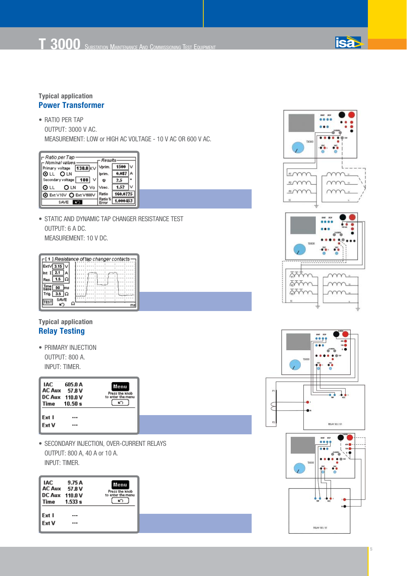

• RATIO PER TAP OUTPUT: 3000 V AC.

MEASUREMENT: LOW or HIGH AC VOLTAGE - 10 V AC OR 600 V AC.

| – Ratio per Tap<br>Nominal values | Results |      |
|-----------------------------------|---------|------|
| $130.0$ KV<br>Primary voltage     | Vprim.  | 1500 |
| OLL OLN                           | lorim.  |      |
| 100<br>Secondary voltage          | Ф       |      |
| O Vo<br>⊙ட∟<br>O LN               | Vsec.   | 1.52 |
| <b>O</b> Ext ∨10∨ C Ext ∨600∨     | Ratio   |      |
| SAVE                              |         |      |

• STATIC AND DYNAMIC TAP CHANGER RESISTANCE TEST OUTPUT: 6 A DC. MEASUREMENT: 10 V DC.

|                                  | ┌[ 1 ] Resistance of tap changer contacts · |  |
|----------------------------------|---------------------------------------------|--|
| $\mathsf{Ext}\sqrt{3.15}\sqrt{}$ |                                             |  |
| 2.1                              |                                             |  |
| 1.5 $ \Omega $<br>Res.           |                                             |  |
| 50<br>ms                         |                                             |  |
| 3.5<br>Trin<br>SAME              |                                             |  |
|                                  |                                             |  |

#### **Typical application Relay Testing**

• PRIMARY INJECTION OUTPUT: 800 A.

INPUT: TIMER.

| IAC.<br><b>Time</b> | 605.O A<br>AC Aux 57.8 V<br>DC Aux 110.0 V<br>10.50 s | Menu<br>Press the knob<br>to enter the menu |
|---------------------|-------------------------------------------------------|---------------------------------------------|
| Ext I               |                                                       |                                             |
| <b>Ext V</b>        |                                                       |                                             |

• SECONDARY INJECTION, OVER-CURRENT RELAYS OUTPUT: 800 A, 40 A or 10 A. INPUT: TIMER.

| IAC<br>AC Aux 57.8 V<br>DC Aux 110.0 V<br>Time | 9.75 A<br>1.533 s | Menu<br>Press the knob<br>to enter the menu |  |
|------------------------------------------------|-------------------|---------------------------------------------|--|
| Ext I                                          |                   |                                             |  |
| Ext V                                          |                   |                                             |  |





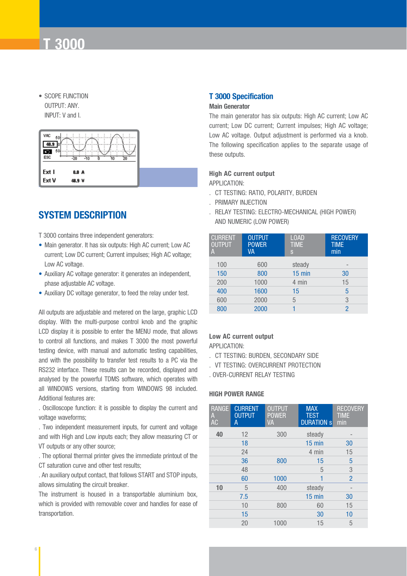• SCOPE FUNCTION OUTPUT: ANY. INPUT: V and I.



### **SYSTEM DESCRIPTION**

T 3000 contains three independent generators:

- Main generator. It has six outputs: High AC current; Low AC current; Low DC current; Current impulses; High AC voltage; Low AC voltage.
- Auxiliary AC voltage generator: it generates an independent, phase adjustable AC voltage.
- Auxiliary DC voltage generator, to feed the relay under test.

All outputs are adjustable and metered on the large, graphic LCD display. With the multi-purpose control knob and the graphic LCD display it is possible to enter the MENU mode, that allows to control all functions, and makes T 3000 the most powerful testing device, with manual and automatic testing capabilities, and with the possibility to transfer test results to a PC via the RS232 interface. These results can be recorded, displayed and analysed by the powerful TDMS software, which operates with all WINDOWS versions, starting from WINDOWS 98 included. Additional features are:

. Oscilloscope function: it is possible to display the current and voltage waveforms;

. Two independent measurement inputs, for current and voltage and with High and Low inputs each; they allow measuring CT or VT outputs or any other source;

. The optional thermal printer gives the immediate printout of the CT saturation curve and other test results;

. An auxiliary output contact, that follows START and STOP inputs, allows simulating the circuit breaker.

The instrument is housed in a transportable aluminium box, which is provided with removable cover and handles for ease of transportation.

#### **T 3000 Specification**

#### **Main Generator**

The main generator has six outputs: High AC current; Low AC current; Low DC current; Current impulses; High AC voltage; Low AC voltage. Output adjustment is performed via a knob. The following specification applies to the separate usage of these outputs.

#### **High AC current output**

APPLICATION:

- . CT TESTING: RATIO, POLARITY, BURDEN
- . PRIMARY INJECTION
- . RELAY TESTING: ELECTRO-MECHANICAL (HIGH POWER) AND NUMERIC (LOW POWER)

| <b>CURRENT</b><br><b>OUTPUT</b><br>A | <b>OUTPUT</b><br><b>POWER</b><br>VA | <b>LOAD</b><br><b>TIME</b><br>S | <b>RECOVERY</b><br><b>TIME</b><br>min |
|--------------------------------------|-------------------------------------|---------------------------------|---------------------------------------|
| 100                                  | 600                                 | steady                          | $\qquad \qquad$                       |
| 150                                  | 800                                 | $15 \text{ min}$                | 30                                    |
| 200                                  | 1000                                | 4 min                           | 15                                    |
| 400                                  | 1600                                | 15                              | 5                                     |
| 600                                  | 2000                                | 5                               | 3                                     |
| 800                                  | 2000                                |                                 | $\overline{\phantom{a}}$              |
|                                      |                                     |                                 |                                       |

#### **Low AC current output**

APPLICATION:

- . CT TESTING: BURDEN, SECONDARY SIDE
- . VT TESTING: OVERCURRENT PROTECTION

. OVER-CURRENT RELAY TESTING

#### **HIGH POWER RANGE**

| <b>CURRENT</b><br><b>OUTPUT</b><br>Α | <b>OUTPUT</b><br><b>POWER</b><br>VA | <b>MAX</b><br><b>TEST</b><br><b>DURATION S</b> | <b>RECOVERY</b><br><b>TIME</b><br>min |
|--------------------------------------|-------------------------------------|------------------------------------------------|---------------------------------------|
| 12                                   | 300                                 | steady                                         |                                       |
| 18                                   |                                     | $15$ min                                       | 30                                    |
| 24                                   |                                     | 4 min                                          | 15                                    |
| 36                                   | 800                                 | 15                                             | 5                                     |
| 48                                   |                                     | 5                                              | 3                                     |
| 60                                   | 1000                                | 1                                              | $\overline{2}$                        |
| 5                                    | 400                                 | steady                                         |                                       |
| 7.5                                  |                                     | $15$ min                                       | 30                                    |
| 10                                   | 800                                 | 60                                             | 15                                    |
| 15                                   |                                     | 30                                             | 10                                    |
| 20                                   | 1000                                | 15                                             | 5                                     |
|                                      |                                     |                                                |                                       |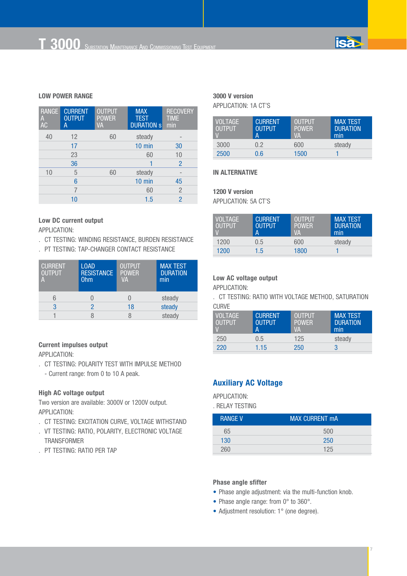

#### **LOW POWER RANGE**

| <b>RANGE</b><br>A<br>AC | <b>CURRENT</b><br><b>OUTPUT</b><br>А | <b>OUTPUT</b><br><b>POWER</b><br><b>VA</b> | <b>MAX</b><br><b>TEST</b><br><b>DURATION S</b> | <b>RECOVERY</b><br><b>TIME</b><br>min |
|-------------------------|--------------------------------------|--------------------------------------------|------------------------------------------------|---------------------------------------|
| 40                      | 12                                   | 60                                         | steady                                         |                                       |
|                         | 17                                   |                                            | $10$ min                                       | 30                                    |
|                         | 23                                   |                                            | 60                                             | 10                                    |
|                         | 36                                   |                                            |                                                | $\overline{2}$                        |
| 10                      | 5                                    | 60                                         | steady                                         | $\qquad \qquad \blacksquare$          |
|                         | 6                                    |                                            | 10 min                                         | 45                                    |
|                         |                                      |                                            | 60                                             | $\overline{c}$                        |
|                         | 10                                   |                                            | 1.5                                            | 2                                     |

#### **Low DC current output**

APPLICATION:

- . CT TESTING: WINDING RESISTANCE, BURDEN RESISTANCE
- . PT TESTING: TAP-CHANGER CONTACT RESISTANCE

| <b>CURRENT</b><br><b>OUTPUT</b><br>A | <b>LOAD</b><br><b>RESISTANCE</b><br><b>Ohm</b> | <b>OUTPUT</b><br><b>POWER</b><br><b>VA</b> | <b>MAX TEST</b><br><b>DURATION</b><br>min |
|--------------------------------------|------------------------------------------------|--------------------------------------------|-------------------------------------------|
|                                      |                                                |                                            | steady                                    |
| 3                                    |                                                | 18                                         | steady                                    |
|                                      |                                                |                                            | steady                                    |

#### **Current impulses output**

APPLICATION:

- . CT TESTING: POLARITY TEST WITH IMPULSE METHOD
	- Current range: from 0 to 10 A peak.

#### **High AC voltage output**

Two version are available: 3000V or 1200V output. APPLICATION:

- . CT TESTING: EXCITATION CURVE, VOLTAGE WITHSTAND
- . VT TESTING: RATIO, POLARITY, ELECTRONIC VOLTAGE **TRANSFORMER**
- . PT TESTING: RATIO PER TAP

#### **3000 V version** APPLICATION: 1A CT'S

| <b>VOLTAGE</b><br><b>OUTPUT</b> | <b>CURRENT</b><br><b>OUTPUT</b><br>А | <b>OUTPUT</b><br><b>POWER</b><br><b>VA</b> | <b>MAX TEST</b><br><b>DURATION</b><br>min |
|---------------------------------|--------------------------------------|--------------------------------------------|-------------------------------------------|
| 3000                            | 0.2                                  | 600                                        | steady                                    |
| 2500                            | 0.6                                  | 1500                                       |                                           |

#### **IN ALTERNATIVE**

### **1200 V version**

APPLICATION: 5A CT'S

| <b>VOLTAGE</b><br><b>OUTPUT</b> | <b>CURRENT</b><br><b>OUTPUT</b><br>А | <b>OUTPUT</b><br>POWER.<br>VА | <b>MAX TEST</b><br><b>DURATION</b><br>min |
|---------------------------------|--------------------------------------|-------------------------------|-------------------------------------------|
| 1200                            | 0.5                                  | 600                           | steady                                    |
| 1200                            | 1.5                                  | 1800                          |                                           |

#### **Low AC voltage output**

APPLICATION:

. CT TESTING: RATIO WITH VOLTAGE METHOD, SATURATION CLIB<sub>VE</sub>

| <b>VOLTAGE</b><br>OUTPUT' | <b>CURRENT</b><br><b>OUTPUT</b><br>А | <b>OUTPUT</b><br><b>POWER</b><br><b>VA</b> | <b>MAX TEST</b><br><b>DURATION</b><br>min |
|---------------------------|--------------------------------------|--------------------------------------------|-------------------------------------------|
| 250                       | 0.5                                  | 125                                        | steady                                    |
| 220                       | 1.15                                 | 250                                        | 3                                         |

#### **Auxiliary AC Voltage**

APPLICATION:

. RELAY TESTING

| <b>RANGE V</b> | <b>MAX CURRENT mA</b> |
|----------------|-----------------------|
| 65             | 500                   |
| 130            | 250                   |
| 260            | 125                   |

#### **Phase angle sfifter**

• Phase angle adjustment: via the multi-function knob.

- Phase angle range: from 0° to 360°.
- Adjustment resolution: 1° (one degree).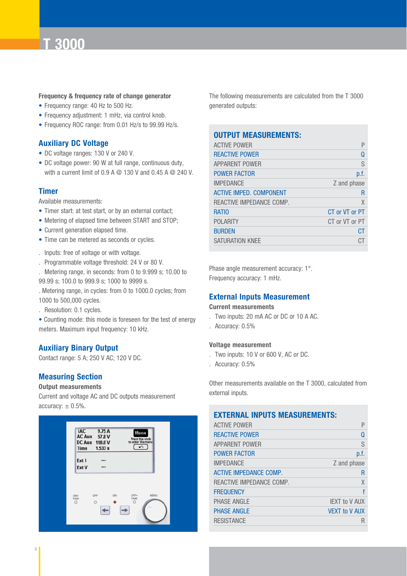#### **Frequency & frequency rate of change generator**

- Frequency range: 40 Hz to 500 Hz.
- Frequency adjustment: 1 mHz, via control knob.
- Frequency ROC range: from 0.01 Hz/s to 99.99 Hz/s.

#### **Auxiliary DC Voltage**

- DC voltage ranges: 130 V or 240 V.
- DC voltage power: 90 W at full range, continuous duty, with a current limit of 0.9 A @ 130 V and 0.45 A @ 240 V.

#### **Timer**

Available measurements:

- Timer start: at test start, or by an external contact;
- Metering of elapsed time between START and STOP;
- Current generation elapsed time.
- Time can be metered as seconds or cycles.
- . Inputs: free of voltage or with voltage.
- . Programmable voltage threshold: 24 V or 80 V.

. Metering range, in seconds: from 0 to 9.999 s; 10.00 to 99.99 s; 100.0 to 999.9 s; 1000 to 9999 s.

. Metering range, in cycles: from 0 to 1000.0 cycles; from 1000 to 500,000 cycles.

. Resolution: 0.1 cycles.

• Counting mode: this mode is foreseen for the test of energy meters. Maximum input frequency: 10 kHz.

#### **Auxiliary Binary Output**

Contact range: 5 A; 250 V AC; 120 V DC.

#### **Measuring Section**

#### **Output measurements**

Current and voltage AC and DC outputs measurement accuracy:  $\pm$  0.5%.



The following measurements are calculated from the T 3000 generated outputs:

### **OUTPUT MEASUREMENTS:**

| P              |
|----------------|
| Ω              |
| S              |
| p.f.           |
| Z and phase    |
| R              |
| X              |
| CT or VT or PT |
| CT or VT or PT |
| CT.            |
| СT             |
|                |

Phase angle measurement accuracy: 1°. Frequency accuracy: 1 mHz.

#### **External Inputs Measurement**

#### **Current measurements**

- . Two inputs: 20 mA AC or DC or 10 A AC.
- . Accuracy: 0.5%

#### **Voltage measurement**

- . Two inputs: 10 V or 600 V, AC or DC.
- . Accuracy: 0.5%

Other measurements available on the T 3000, calculated from external inputs.

#### **EXTERNAL INPUTS MEASUREMENTS:**

| <b>ACTIVE POWER</b>      |                      |
|--------------------------|----------------------|
| <b>REACTIVE POWER</b>    | Ω                    |
| <b>APPARENT POWER</b>    | S                    |
| <b>POWER FACTOR</b>      | p.f.                 |
| <b>IMPEDANCE</b>         | Z and phase          |
| ACTIVE IMPEDANCE COMP.   | R                    |
| REACTIVE IMPEDANCE COMP. | X                    |
| <b>FREQUENCY</b>         |                      |
| PHASE ANGLE              | <b>IEXT to V AUX</b> |
| <b>PHASE ANGLE</b>       | <b>VEXT to V AUX</b> |
| <b>RESISTANCE</b>        |                      |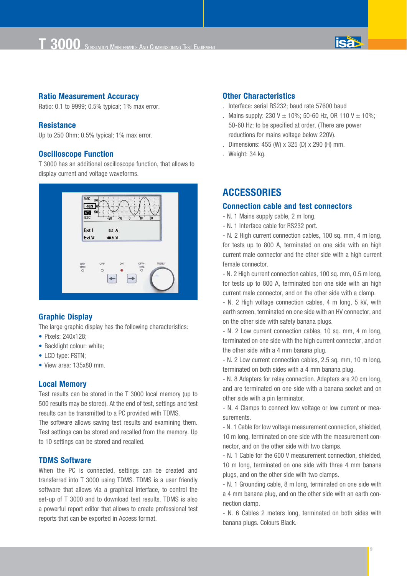

#### **Ratio Measurement Accuracy**

Ratio: 0.1 to 9999; 0.5% typical; 1% max error.

#### **Resistance**

Up to 250 Ohm; 0.5% typical; 1% max error.

#### **Oscilloscope Function**

T 3000 has an additional oscilloscope function, that allows to display current and voltage waveforms.



#### **Graphic Display**

The large graphic display has the following characteristics:

- Pixels: 240x128:
- Backlight colour: white:
- LCD type: FSTN;
- View area: 135x80 mm.

#### **Local Memory**

Test results can be stored in the T 3000 local memory (up to 500 results may be stored). At the end of test, settings and test results can be transmitted to a PC provided with TDMS.

The software allows saving test results and examining them. Test settings can be stored and recalled from the memory. Up to 10 settings can be stored and recalled.

#### **TDMS Software**

When the PC is connected, settings can be created and transferred into T 3000 using TDMS. TDMS is a user friendly software that allows via a graphical interface, to control the set-up of T 3000 and to download test results. TDMS is also a powerful report editor that allows to create professional test reports that can be exported in Access format.

#### **Other Characteristics**

- . Interface: serial RS232; baud rate 57600 baud
- . Mains supply: 230 V  $\pm$  10%; 50-60 Hz, OR 110 V  $\pm$  10%; 50-60 Hz; to be specified at order. (There are power reductions for mains voltage below 220V).
- . Dimensions: 455 (W) x 325 (D) x 290 (H) mm.
- . Weight: 34 kg.

**ACCESSORIES**

#### **Connection cable and test connectors**

- N. 1 Mains supply cable, 2 m long.

- N. 1 Interface cable for RS232 port.

- N. 2 High current connection cables, 100 sq. mm, 4 m long, for tests up to 800 A, terminated on one side with an high current male connector and the other side with a high current female connector.

- N. 2 High current connection cables, 100 sq. mm, 0.5 m long, for tests up to 800 A, terminated bon one side with an high current male connector, and on the other side with a clamp.

- N. 2 High voltage connection cables, 4 m long, 5 kV, with earth screen, terminated on one side with an HV connector, and on the other side with safety banana plugs.

- N. 2 Low current connection cables, 10 sq. mm, 4 m long, terminated on one side with the high current connector, and on the other side with a 4 mm banana plug.

- N. 2 Low current connection cables, 2.5 sq. mm, 10 m long, terminated on both sides with a 4 mm banana plug.

- N. 8 Adapters for relay connection. Adapters are 20 cm long, and are terminated on one side with a banana socket and on other side with a pin terminator.

- N. 4 Clamps to connect low voltage or low current or measurements.

- N. 1 Cable for low voltage measurement connection, shielded, 10 m long, terminated on one side with the measurement connector, and on the other side with two clamps.

- N. 1 Cable for the 600 V measurement connection, shielded, 10 m long, terminated on one side with three 4 mm banana plugs, and on the other side with two clamps.

- N. 1 Grounding cable, 8 m long, terminated on one side with a 4 mm banana plug, and on the other side with an earth connection clamp.

- N. 6 Cables 2 meters long, terminated on both sides with banana plugs. Colours Black.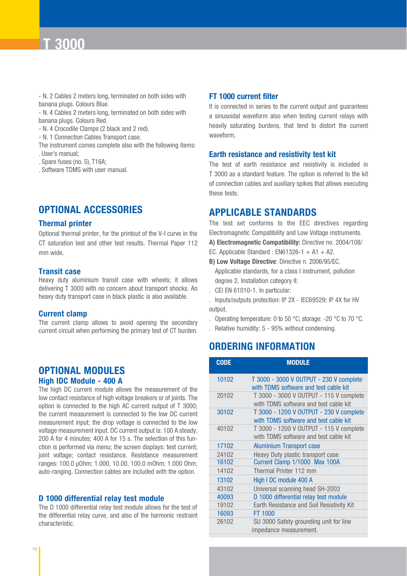- N. 2 Cables 2 meters long, terminated on both sides with banana plugs. Colours Blue.

- N. 4 Cables 2 meters long, terminated on both sides with banana plugs. Colours Red.

- N. 4 Crocodile Clamps (2 black and 2 red).
- N. 1 Connection Cables Transport case.
- The instrument comes complete also with the following items: . User's manual;
- . Spare fuses (no. 5), T16A;
- . Software TDMS with user manual.

### **OPTIONAL ACCESSORIES**

#### **Thermal printer**

Optional thermal printer, for the printout of the V-I curve in the CT saturation test and other test results. Thermal Paper 112 mm wide.

#### **Transit case**

Heavy duty aluminium transit case with wheels; it allows delivering T 3000 with no concern about transport shocks. An heavy duty transport case in black plastic is also available.

#### **Current clamp**

The current clamp allows to avoid opening the secondary current circuit when performing the primary test of CT burden.

#### **OPTIONAL MODULES High IDC Module - 400 A**

The high DC current module allows the measurement of the low contact resistance of high voltage breakers or of joints. The option is connected to the high AC current output of T 3000; the current measurement is connected to the low DC current measurement input; the drop voltage is connected to the low voltage measurement input. DC current output is: 100 A steady; 200 A for 4 minutes; 400 A for 15 s. The selection of this function is performed via menu; the screen displays: test current; joint voltage; contact resistance. Resistance measurement ranges: 100.0 µOhm; 1.000, 10.00, 100.0 mOhm; 1.000 Ohm, auto-ranging. Connection cables are included with the option.

#### **D 1000 differential relay test module**

The D 1000 differential relay test module allows for the test of the differential relay curve, and also of the harmonic restraint characteristic.

#### **FT 1000 current filter**

It is connected in series to the current output and guarantees a sinusoidal waveform also when testing current relays with heavily saturating burdens, that tend to distort the current waveform.

#### **Earth resistance and resistivity test kit**

The test of earth resistance and resistivity is included in T 3000 as a standard feature. The option is referred to the kit of connection cables and auxiliary spikes that allows executing these tests.

#### **APPLICABLE STANDARDS**

The test set conforms to the EEC directives regarding Electromagnetic Compatibility and Low Voltage instruments. **A) Electromagnetic Compatibility:** Directive no. 2004/108/

- EC. Applicable Standard : EN61326-1 + A1 + A2.
- **B) Low Voltage Directive**: Directive n. 2006/95/EC.
	- Applicable standards, for a class I instrument, pollution degree 2, Installation category II:
- . CEI EN 61010-1. In particular:

. Inputs/outputs protection: IP 2X - IEC69529; IP 4X for HV output.

- . Operating temperature: 0 to 50 °C; storage: -20 °C to 70 °C.
- . Relative humidity: 5 95% without condensing.

### **ORDERING INFORMATION**

| <b>CODE</b> | <b>MODULE</b>                                                                    |
|-------------|----------------------------------------------------------------------------------|
| 10102       | T 3000 - 3000 V OUTPUT - 230 V complete<br>with TDMS software and test cable kit |
| 20102       | T 3000 - 3000 V OUTPUT - 115 V complete<br>with TDMS software and test cable kit |
| 30102       | T 3000 - 1200 V OUTPUT - 230 V complete<br>with TDMS software and test cable kit |
| 40102       | T 3000 - 1200 V OUTPUT - 115 V complete<br>with TDMS software and test cable kit |
| 17102       | <b>Aluminium Transport case</b>                                                  |
| 24102       | Heavy Duty plastic transport case                                                |
| 16102       | Current Clamp 1/1000 Max 100A                                                    |
| 14102       | Thermal Printer 112 mm                                                           |
| 13102       | High I DC module 400 A                                                           |
| 43102       | Universal scanning head SH-2003                                                  |
| 40093       | D 1000 differential relay test module                                            |
| 19102       | Earth Resistance and Soil Resistivity Kit                                        |
| 16093       | FT 1000                                                                          |
| 26102       | SU 3000 Safety grounding unit for line<br>impedance measurement.                 |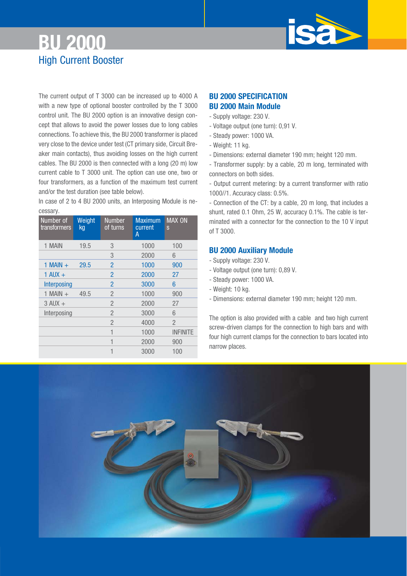# **BU 2000** High Current Booster

The current output of T 3000 can be increased up to 4000 A with a new type of optional booster controlled by the T 3000 control unit. The BU 2000 option is an innovative design concept that allows to avoid the power losses due to long cables connections. To achieve this, the BU 2000 transformer is placed very close to the device under test (CT primary side, Circuit Breaker main contacts), thus avoiding losses on the high current cables. The BU 2000 is then connected with a long (20 m) low current cable to T 3000 unit. The option can use one, two or four transformers, as a function of the maximum test current and/or the test duration (see table below).

In case of 2 to 4 BU 2000 units, an Interposing Module is necessary.

| Number of<br>transformers | Weight<br>kg | <b>Number</b><br>of turns | <b>Maximum</b><br>current<br>Α | <b>MAX ON</b><br>S |
|---------------------------|--------------|---------------------------|--------------------------------|--------------------|
| 1 MAIN                    | 19.5         | 3                         | 1000                           | 100                |
|                           |              | 3                         | 2000                           | 6                  |
| $1$ MAIN $+$              | 29.5         | $\overline{2}$            | 1000                           | 900                |
| $1$ AUX $+$               |              | $\overline{2}$            | 2000                           | 27                 |
| Interposing               |              | $\overline{2}$            | 3000                           | 6                  |
| $1$ MAIN $+$              | 49.5         | $\overline{2}$            | 1000                           | 900                |
| $3$ AUX $+$               |              | $\overline{2}$            | 2000                           | 27                 |
| Interposing               |              | $\overline{2}$            | 3000                           | 6                  |
|                           |              | $\overline{2}$            | 4000                           | $\overline{2}$     |
|                           |              | 1                         | 1000                           | INFINITE           |
|                           |              | 1                         | 2000                           | 900                |
|                           |              | 1                         | 3000                           | 100                |

#### **BU 2000 SPECIFICATION BU 2000 Main Module**

- Supply voltage: 230 V.
- Voltage output (one turn): 0,91 V.
- Steady power: 1000 VA.
- Weight: 11 kg.
- Dimensions: external diameter 190 mm; height 120 mm.
- Transformer supply: by a cable, 20 m long, terminated with connectors on both sides.
- Output current metering: by a current transformer with ratio 1000//1. Accuracy class: 0.5%.

- Connection of the CT: by a cable, 20 m long, that includes a shunt, rated 0.1 Ohm, 25 W, accuracy 0.1%. The cable is terminated with a connector for the connection to the 10 V input of T 3000.

#### **BU 2000 Auxiliary Module**

- Supply voltage: 230 V.
- Voltage output (one turn): 0,89 V.
- Steady power: 1000 VA.
- Weight: 10 kg.
- Dimensions: external diameter 190 mm; height 120 mm.

The option is also provided with a cable and two high current screw-driven clamps for the connection to high bars and with four high current clamps for the connection to bars located into narrow places.